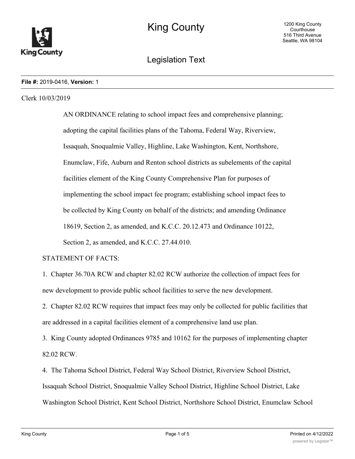

# Legislation Text

#### **File #:** 2019-0416, **Version:** 1

#### Clerk 10/03/2019

AN ORDINANCE relating to school impact fees and comprehensive planning; adopting the capital facilities plans of the Tahoma, Federal Way, Riverview, Issaquah, Snoqualmie Valley, Highline, Lake Washington, Kent, Northshore, Enumclaw, Fife, Auburn and Renton school districts as subelements of the capital facilities element of the King County Comprehensive Plan for purposes of implementing the school impact fee program; establishing school impact fees to be collected by King County on behalf of the districts; and amending Ordinance 18619, Section 2, as amended, and K.C.C. 20.12.473 and Ordinance 10122, Section 2, as amended, and K.C.C. 27.44.010.

#### STATEMENT OF FACTS:

1. Chapter 36.70A RCW and chapter 82.02 RCW authorize the collection of impact fees for new development to provide public school facilities to serve the new development.

2. Chapter 82.02 RCW requires that impact fees may only be collected for public facilities that are addressed in a capital facilities element of a comprehensive land use plan.

3. King County adopted Ordinances 9785 and 10162 for the purposes of implementing chapter 82.02 RCW.

4. The Tahoma School District, Federal Way School District, Riverview School District, Issaquah School District, Snoqualmie Valley School District, Highline School District, Lake Washington School District, Kent School District, Northshore School District, Enumclaw School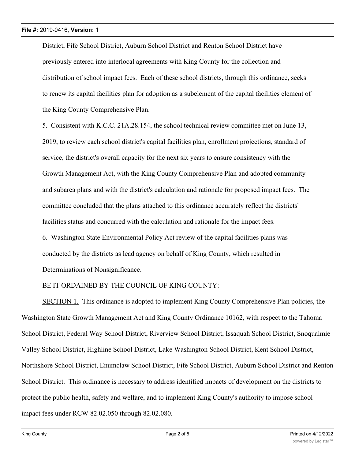District, Fife School District, Auburn School District and Renton School District have previously entered into interlocal agreements with King County for the collection and distribution of school impact fees. Each of these school districts, through this ordinance, seeks to renew its capital facilities plan for adoption as a subelement of the capital facilities element of the King County Comprehensive Plan.

5. Consistent with K.C.C. 21A.28.154, the school technical review committee met on June 13, 2019, to review each school district's capital facilities plan, enrollment projections, standard of service, the district's overall capacity for the next six years to ensure consistency with the Growth Management Act, with the King County Comprehensive Plan and adopted community and subarea plans and with the district's calculation and rationale for proposed impact fees. The committee concluded that the plans attached to this ordinance accurately reflect the districts' facilities status and concurred with the calculation and rationale for the impact fees.

6. Washington State Environmental Policy Act review of the capital facilities plans was conducted by the districts as lead agency on behalf of King County, which resulted in Determinations of Nonsignificance.

BE IT ORDAINED BY THE COUNCIL OF KING COUNTY:

SECTION 1. This ordinance is adopted to implement King County Comprehensive Plan policies, the Washington State Growth Management Act and King County Ordinance 10162, with respect to the Tahoma School District, Federal Way School District, Riverview School District, Issaquah School District, Snoqualmie Valley School District, Highline School District, Lake Washington School District, Kent School District, Northshore School District, Enumclaw School District, Fife School District, Auburn School District and Renton School District. This ordinance is necessary to address identified impacts of development on the districts to protect the public health, safety and welfare, and to implement King County's authority to impose school impact fees under RCW 82.02.050 through 82.02.080.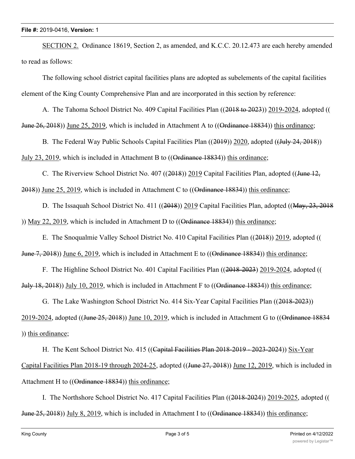#### **File #:** 2019-0416, **Version:** 1

SECTION 2. Ordinance 18619, Section 2, as amended, and K.C.C. 20.12.473 are each hereby amended to read as follows:

The following school district capital facilities plans are adopted as subelements of the capital facilities element of the King County Comprehensive Plan and are incorporated in this section by reference:

A. The Tahoma School District No. 409 Capital Facilities Plan ((2018 to 2023)) 2019-2024, adopted (( June 26, 2018)) June 25, 2019, which is included in Attachment A to ((Ordinance 18834)) this ordinance;

B. The Federal Way Public Schools Capital Facilities Plan ((2019)) 2020, adopted ((July 24, 2018)) July 23, 2019, which is included in Attachment B to  $((\text{Ordinance } 18834))$  this ordinance;

C. The Riverview School District No. 407 ((2018)) 2019 Capital Facilities Plan, adopted ((June 12, 2018)) June 25, 2019, which is included in Attachment C to ((Ordinance 18834)) this ordinance;

D. The Issaquah School District No. 411 ((2018)) 2019 Capital Facilities Plan, adopted ((May, 23, 2018 )) May 22, 2019, which is included in Attachment D to  $((\theta_{rdi})$  Has  $(48834))$  this ordinance;

E. The Snoqualmie Valley School District No. 410 Capital Facilities Plan ((2018)) 2019, adopted (( June 7, 2018)) June 6, 2019, which is included in Attachment E to ((Ordinance 18834)) this ordinance;

F. The Highline School District No. 401 Capital Facilities Plan ((2018-2023) 2019-2024, adopted (( July 18, 2018)) July 10, 2019, which is included in Attachment F to ((Ordinance 18834)) this ordinance;

G. The Lake Washington School District No. 414 Six-Year Capital Facilities Plan ((2018-2023)) 2019-2024, adopted ((June 25, 2018)) June 10, 2019, which is included in Attachment G to ((Ordinance 18834) )) this ordinance;

H. The Kent School District No. 415 ((Capital Facilities Plan 2018-2019 - 2023-2024)) Six-Year Capital Facilities Plan 2018-19 through 2024-25, adopted ((June 27, 2018)) June 12, 2019, which is included in Attachment H to ((Ordinance 18834)) this ordinance;

I. The Northshore School District No. 417 Capital Facilities Plan ((2018-2024)) 2019-2025, adopted (( June 25, 2018)) July 8, 2019, which is included in Attachment I to ((Ordinance 18834)) this ordinance;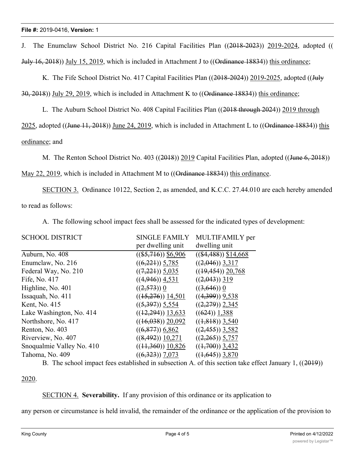J. The Enumclaw School District No. 216 Capital Facilities Plan ((2018-2023)) 2019-2024, adopted (( July 16, 2018)) July 15, 2019, which is included in Attachment J to ((Ordinance 18834)) this ordinance;

K. The Fife School District No. 417 Capital Facilities Plan ((2018-2024)) 2019-2025, adopted ((July

 $30, 2018$ )) July 29, 2019, which is included in Attachment K to (( $\Theta$ <del>rdinance 1883</del>4)) this ordinance;

L. The Auburn School District No. 408 Capital Facilities Plan ((2018 through 2024)) 2019 through

2025, adopted ((June 11, 2018)) June 24, 2019, which is included in Attachment L to ((Ordinance 18834)) this

### ordinance; and

M. The Renton School District No. 403 ((2018)) 2019 Capital Facilities Plan, adopted ((June 6, 2018))

May 22, 2019, which is included in Attachment M to  $((\text{Ordinance } 18834))$  this ordinance.

SECTION 3. Ordinance 10122, Section 2, as amended, and K.C.C. 27.44.010 are each hereby amended to read as follows:

A. The following school impact fees shall be assessed for the indicated types of development:

| <b>SINGLE FAMILY</b>  | MULTIFAMILY per        |
|-----------------------|------------------------|
| per dwelling unit     | dwelling unit          |
| $((\$5,716))$ \$6,906 | $((\$4,488))$ \$14,668 |
| $((6,221))$ 5,785     | $((2,046))$ 3,317      |
| $((7,221))$ 5,035     | $((19, 454))$ 20,768   |
| $((4,946))$ 4,531     | $((2,043))$ 319        |
| $((2,573))$ 0         | $((3,646))$ 0          |
| $((15,276))$ 14,501   | $((4,399))$ 9,538      |
| $((5,397))$ 5,554     | $((2,279))$ 2,345      |
| $((12,294))$ 13,633   | $((624))$ 1,388        |
| $((16,038))$ 20,092   | $((1,818))$ 3,540      |
| $((6,877))$ 6,862     | $((2,455))$ 3,582      |
| $((8,492))$ 10,271    | $((2,265))$ 5,757      |
| $((11,360))$ 10,826   | $((1,700))$ 3,432      |
| $((6,323))$ 7,073     | $((1,645))$ 3,870      |
|                       |                        |

B. The school impact fees established in subsection A. of this section take effect January 1, ((2019))

2020.

#### SECTION 4. **Severability.** If any provision of this ordinance or its application to

any person or circumstance is held invalid, the remainder of the ordinance or the application of the provision to